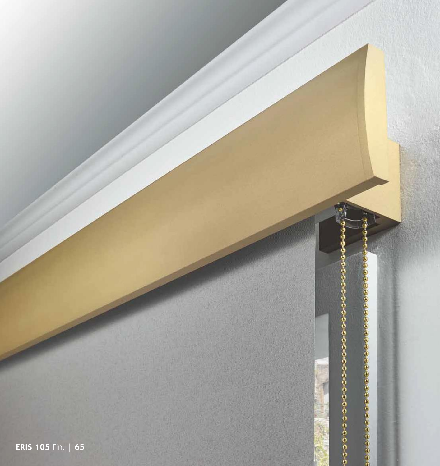ERIS 105 Fin. | 65

R.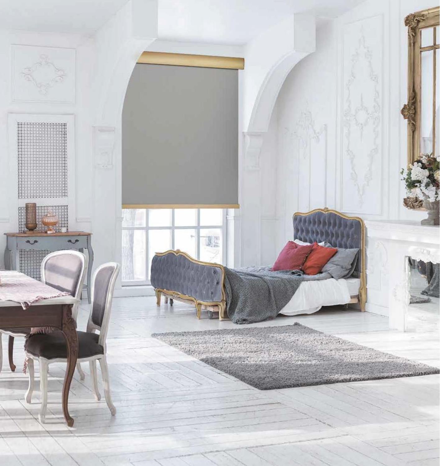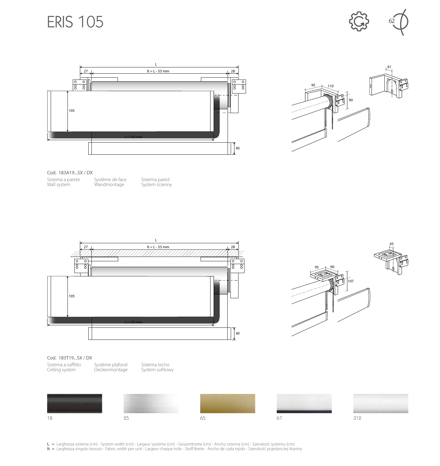







#### Cod. 183A19...SX / DX

| Sistema a parete |
|------------------|
| Wall system      |

Système de face Wandmontage Sistema pared System ścienny





#### Cod. 183T19...SX / DX

| Sistema a soffitto |  |
|--------------------|--|
| Ceiling system     |  |

Système plafond Deckenmontage Sistema techo System sufitowy



**L =** Larghezza sistema (cm) - System width (cm) - Largeur système (cm) - Gesamtbreite (cm) - Ancho sistema (cm) - Szerokość systemu (cm)

It = Larghezza singolo tessuto - Fabric width per unit - Largeur chaque toile - Stoff Breite - Ancho de cada tejido - Szerokość pojedynczej tkaniny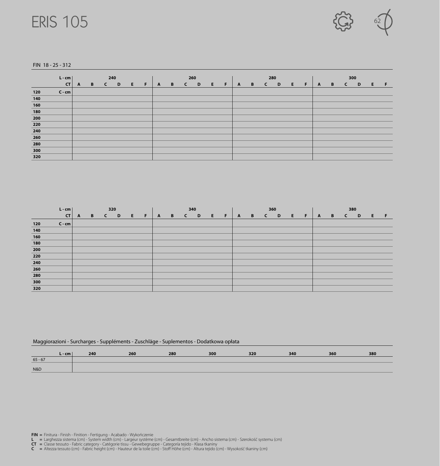



FIN 18 - 25 - 312

|     | $L - cm$ |          |              | 240   |   |    |              |   |              | 260 |   |    |   | 280   |   |     |              |                | 300   |    |    |
|-----|----------|----------|--------------|-------|---|----|--------------|---|--------------|-----|---|----|---|-------|---|-----|--------------|----------------|-------|----|----|
|     | CT       | <b>A</b> | $\mathbf{B}$ | $C$ D | E | F. | $\mathbf{A}$ | B | $\mathsf{C}$ | D   | E | F. | A | B C D | E | - F | $\mathbf{A}$ | $\overline{B}$ | $C$ D | E. | -F |
| 120 | $C$ - cm |          |              |       |   |    |              |   |              |     |   |    |   |       |   |     |              |                |       |    |    |
| 140 |          |          |              |       |   |    |              |   |              |     |   |    |   |       |   |     |              |                |       |    |    |
| 160 |          |          |              |       |   |    |              |   |              |     |   |    |   |       |   |     |              |                |       |    |    |
| 180 |          |          |              |       |   |    |              |   |              |     |   |    |   |       |   |     |              |                |       |    |    |
| 200 |          |          |              |       |   |    |              |   |              |     |   |    |   |       |   |     |              |                |       |    |    |
| 220 |          |          |              |       |   |    |              |   |              |     |   |    |   |       |   |     |              |                |       |    |    |
| 240 |          |          |              |       |   |    |              |   |              |     |   |    |   |       |   |     |              |                |       |    |    |
| 260 |          |          |              |       |   |    |              |   |              |     |   |    |   |       |   |     |              |                |       |    |    |
| 280 |          |          |              |       |   |    |              |   |              |     |   |    |   |       |   |     |              |                |       |    |    |
| 300 |          |          |              |       |   |    |              |   |              |     |   |    |   |       |   |     |              |                |       |    |    |
| 320 |          |          |              |       |   |    |              |   |              |     |   |    |   |       |   |     |              |                |       |    |    |

|               | $L - cm$                                             |              |      | 320        |                |   |   |              |                | 340          |   |   |    |              |              | 360   |   |     |   |   | 380          |              |   |     |
|---------------|------------------------------------------------------|--------------|------|------------|----------------|---|---|--------------|----------------|--------------|---|---|----|--------------|--------------|-------|---|-----|---|---|--------------|--------------|---|-----|
|               | $\overline{\phantom{a}}$ CT $\overline{\phantom{a}}$ | $\mathbf{A}$ | $-B$ | $\epsilon$ | $\blacksquare$ | E | F | $\mathbf{A}$ | $\overline{B}$ | $\mathsf{C}$ | D | E | F. | $\mathbf{A}$ | $\mathbf{B}$ | $C$ D | E | - F | A | B | $\mathsf{C}$ | $\mathbf{D}$ | E | - F |
| 120           | $C$ - $cm$                                           |              |      |            |                |   |   |              |                |              |   |   |    |              |              |       |   |     |   |   |              |              |   |     |
| 140           |                                                      |              |      |            |                |   |   |              |                |              |   |   |    |              |              |       |   |     |   |   |              |              |   |     |
| 160           |                                                      |              |      |            |                |   |   |              |                |              |   |   |    |              |              |       |   |     |   |   |              |              |   |     |
| 180           |                                                      |              |      |            |                |   |   |              |                |              |   |   |    |              |              |       |   |     |   |   |              |              |   |     |
| ${\bf 200}$   |                                                      |              |      |            |                |   |   |              |                |              |   |   |    |              |              |       |   |     |   |   |              |              |   |     |
| 220           |                                                      |              |      |            |                |   |   |              |                |              |   |   |    |              |              |       |   |     |   |   |              |              |   |     |
| 240           |                                                      |              |      |            |                |   |   |              |                |              |   |   |    |              |              |       |   |     |   |   |              |              |   |     |
| $\boxed{260}$ |                                                      |              |      |            |                |   |   |              |                |              |   |   |    |              |              |       |   |     |   |   |              |              |   |     |
| 280           |                                                      |              |      |            |                |   |   |              |                |              |   |   |    |              |              |       |   |     |   |   |              |              |   |     |
| $300\,$       |                                                      |              |      |            |                |   |   |              |                |              |   |   |    |              |              |       |   |     |   |   |              |              |   |     |
| 320           |                                                      |              |      |            |                |   |   |              |                |              |   |   |    |              |              |       |   |     |   |   |              |              |   |     |

## Maggiorazioni - Surcharges - Suppléments - Zuschläge - Suplementos - Dodatkowa opłata

|           | $L$ - cm $^{\prime}$ | 240 | 260 | 280 | 300 | 320 | 340 | 360 | 380 |
|-----------|----------------------|-----|-----|-----|-----|-----|-----|-----|-----|
| $65 - 67$ |                      |     |     |     |     |     |     |     |     |
| N&D       |                      |     |     |     |     |     |     |     |     |

- **L =** Larghezza sistema (cm) System width (cm) Largeur système (cm) Gesamtbreite (cm) Ancho sistema (cm) Szerokość systemu (cm)
- **CT =** Classe tessuto Fabric category Catégorie tissu Gewebegruppe Categoría tejido Klasa tkaniny
- $C$  = Altezza tessuto (cm) Fabric height (cm) Hauteur de la toile (cm) Stoff Höhe (cm) Altura tejido (cm) Wysokość tkaniny (cm)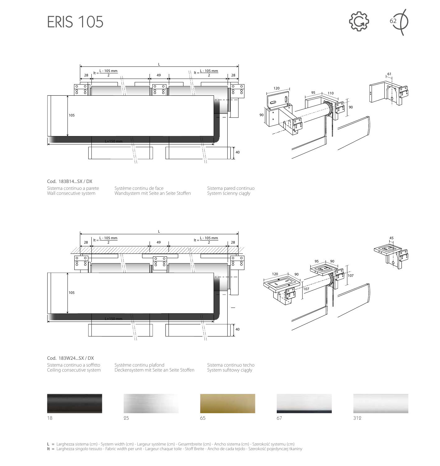







Cod. 183B14...SX / DX Sistema continuo a parete Wall consecutive system

Système continu de face Wandsystem mit Seite an Seite Stoffen

Sistema pared continuo System ścienny ciągły





#### Cod. 183W24...SX / DX

Sistema continuo a soffitto Ceiling consecutive system Système continu plafond Deckensystem mit Seite an Seite Stoffen

Sistema continuo techo System sufitowy ciągły







**L =** Larghezza sistema (cm) - System width (cm) - Largeur système (cm) - Gesamtbreite (cm) - Ancho sistema (cm) - Szerokość systemu (cm)

It = Larghezza singolo tessuto - Fabric width per unit - Largeur chaque toile - Stoff Breite - Ancho de cada tejido - Szerokość pojedynczej tkaniny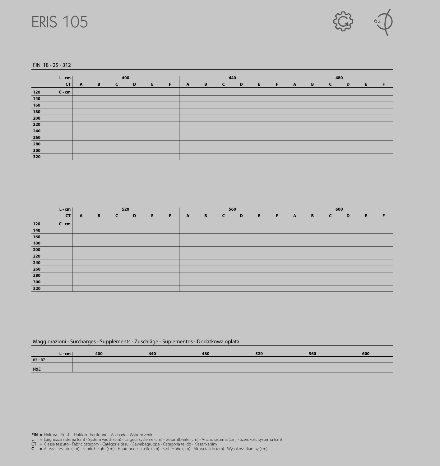



FIN 18 - 25 - 312

|                           | $L - cm$ |              |                | 400          |              |   |   |              |   | 440          |              |    |           |              |   | 480          |              |   |   |
|---------------------------|----------|--------------|----------------|--------------|--------------|---|---|--------------|---|--------------|--------------|----|-----------|--------------|---|--------------|--------------|---|---|
|                           | CT       | $\mathbf{A}$ | $\overline{B}$ | $\mathsf{C}$ | $\mathbf{D}$ | E | F | $\mathbf{A}$ | B | $\mathsf{C}$ | $\mathbf{D}$ | E. | <b>TF</b> | $\mathbf{A}$ | B | $\mathsf{C}$ | $\mathbf{D}$ | E | F |
| 120                       | $C$ - cm |              |                |              |              |   |   |              |   |              |              |    |           |              |   |              |              |   |   |
| 140                       |          |              |                |              |              |   |   |              |   |              |              |    |           |              |   |              |              |   |   |
| 160                       |          |              |                |              |              |   |   |              |   |              |              |    |           |              |   |              |              |   |   |
| 180                       |          |              |                |              |              |   |   |              |   |              |              |    |           |              |   |              |              |   |   |
| 200                       |          |              |                |              |              |   |   |              |   |              |              |    |           |              |   |              |              |   |   |
| $\overline{\mathbf{220}}$ |          |              |                |              |              |   |   |              |   |              |              |    |           |              |   |              |              |   |   |
| ${\bf 240}$               |          |              |                |              |              |   |   |              |   |              |              |    |           |              |   |              |              |   |   |
| 260                       |          |              |                |              |              |   |   |              |   |              |              |    |           |              |   |              |              |   |   |
| 280                       |          |              |                |              |              |   |   |              |   |              |              |    |           |              |   |              |              |   |   |
| 300                       |          |              |                |              |              |   |   |              |   |              |              |    |           |              |   |              |              |   |   |
| 320                       |          |              |                |              |              |   |   |              |   |              |              |    |           |              |   |              |              |   |   |

|               | $L - cm$   |              |                | 520          |   |   |    |              |                | 560          |              |    |    |              |              | 600        |              |   |     |
|---------------|------------|--------------|----------------|--------------|---|---|----|--------------|----------------|--------------|--------------|----|----|--------------|--------------|------------|--------------|---|-----|
|               | CT         | $\mathbf{A}$ | $\overline{B}$ | $\mathsf{C}$ | D | E | F. | $\mathbf{A}$ | $\overline{B}$ | $\mathsf{C}$ | $\mathbf{D}$ | E. | -F | $\mathbf{A}$ | $\mathbf{B}$ | $\epsilon$ | $\mathbf{D}$ | E | - F |
| 120           | $C$ - $cm$ |              |                |              |   |   |    |              |                |              |              |    |    |              |              |            |              |   |     |
| 140           |            |              |                |              |   |   |    |              |                |              |              |    |    |              |              |            |              |   |     |
| 160           |            |              |                |              |   |   |    |              |                |              |              |    |    |              |              |            |              |   |     |
| 180           |            |              |                |              |   |   |    |              |                |              |              |    |    |              |              |            |              |   |     |
| 200           |            |              |                |              |   |   |    |              |                |              |              |    |    |              |              |            |              |   |     |
| $\boxed{220}$ |            |              |                |              |   |   |    |              |                |              |              |    |    |              |              |            |              |   |     |
| 240           |            |              |                |              |   |   |    |              |                |              |              |    |    |              |              |            |              |   |     |
| ${\bf 260}$   |            |              |                |              |   |   |    |              |                |              |              |    |    |              |              |            |              |   |     |
| 280           |            |              |                |              |   |   |    |              |                |              |              |    |    |              |              |            |              |   |     |
| 300           |            |              |                |              |   |   |    |              |                |              |              |    |    |              |              |            |              |   |     |
| 320           |            |              |                |              |   |   |    |              |                |              |              |    |    |              |              |            |              |   |     |

## Maggiorazioni - Surcharges - Suppléments - Zuschläge - Suplementos - Dodatkowa opłata

| - cm      | 400 | 440 | 480 | 520 | 560 | 600 |
|-----------|-----|-----|-----|-----|-----|-----|
| $65 - 67$ |     |     |     |     |     |     |
| N&D       |     |     |     |     |     |     |

- **L =** Larghezza sistema (cm) System width (cm) Largeur système (cm) Gesamtbreite (cm) Ancho sistema (cm) Szerokość systemu (cm)
- **CT =** Classe tessuto Fabric category Catégorie tissu Gewebegruppe Categoría tejido Klasa tkaniny
- $C$  = Altezza tessuto (cm) Fabric height (cm) Hauteur de la toile (cm) Stoff Höhe (cm) Altura tejido (cm) Wysokość tkaniny (cm)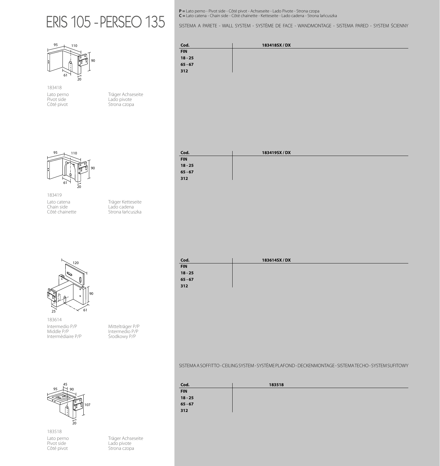# ERIS 105 -PERSEO 135



183418 Lato perno Pivot side Côté pivot

Träger Achseseite Lado pivote Strona czopa



183419 Lato catena Chain side Côté chainette





| Cod.       | 183419SX / DX |
|------------|---------------|
| <b>FIN</b> |               |
| $18 - 25$  |               |
| $65 - 67$  |               |
| 312        |               |
|            |               |



183614 Intermedio P/P Middle P/P Intermèdiaire P/P

Mittelträger P/P Intermedio P/P Środkowy P/P



107 95 R 90 45  $\overline{20}$ 

183518 Lato perno Pivot side Côté pivot

Träger Achseseite Strona czopa

**Cod. 183518 FIN 18 - 25 65 - 67 312**

SISTEMAASOFFITTO-CEILINGSYSTEM-SYSTÈMEPLAFOND-DECKENMONTAGE-SISTEMATECHO-SYSTEMSUFITOWY

**P =** Lato perno - Pivot side - Côté pivot - Achseseite - Lado Pivote - Strona czopa **C =** Lato catena - Chain side - Côté chainette - Ketteseite - Lado cadena - Strona lańcuszka

**Cod. 183418SX / DX**

**FIN**

SISTEMA A PARETE - WALL SYSTEM - SYSTÈME DE FACE - WANDMONTAGE - SISTEMA PARED - SYSTEM ŚCIENNY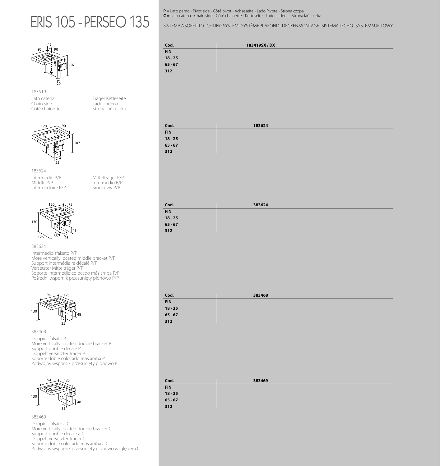## ERIS 105 -PERSEO 135



183519 Lato catena Chain side Côté chainette

Träger Ketteseite Lado cadena Strona łańcuszka



183624 Intermedio P/P Middle P/P Intermèdiaire P/P

Mittelträger P/P Intermedio P/P Środkowy P/P



383624

Intermedio sfalsato P/P More vertically located middle bracket P/P Support intermédiaire décalé P/P Versetzter Mittelträger P/P Soporte intermedio colocado más arriba P/P Pośredni wspornik przesunięty pionowo P/P



Doppio sfalsato P More vertically located double bracket P Support double décalé P Doppelt versetzter Träger P Soporte doble colocado más arriba P Podwójny wspornik przesunięty pionowo P



383469 Doppio sfalsato a C More vertically located double bracket C Support double décalé à C Doppelt versetzter Träger C Soporte doble colocado más arriba a C Podwójny wspornik przesunięty pionowo względem C **P =** Lato perno - Pivot side - Côté pivot - Achseseite - Lado Pivote - Strona czopa **C =** Lato catena - Chain side - Côté chainette - Ketteseite - Lado cadena - Strona lańcuszka

SISTEMAASOFFITTO-CEILINGSYSTEM-SYSTÈMEPLAFOND-DECKENMONTAGE-SISTEMATECHO-SYSTEMSUFITOWY



| Cod.       | 183624 |  |
|------------|--------|--|
| <b>FIN</b> |        |  |
| $18 - 25$  |        |  |
| $65 - 67$  |        |  |
| 312        |        |  |
|            |        |  |

| Cod.       | 383624 |  |
|------------|--------|--|
| <b>FIN</b> |        |  |
| $18 - 25$  |        |  |
| $65 - 67$  |        |  |
| 312        |        |  |
|            |        |  |

| Cod.<br>FIN<br>18 - 25<br>65 - 67<br>312 | 383468 |
|------------------------------------------|--------|
|                                          |        |
|                                          |        |
|                                          |        |
|                                          |        |
|                                          |        |

| Cod.                            | 383469 |  |
|---------------------------------|--------|--|
| <b>FIN</b>                      |        |  |
|                                 |        |  |
| $18 - 25$<br>$65 - 67$<br>$312$ |        |  |
|                                 |        |  |